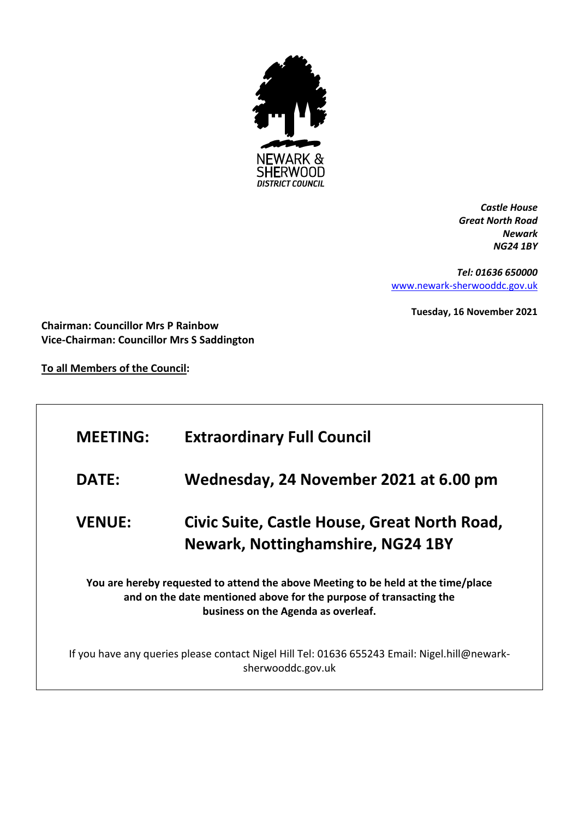

*Castle House Great North Road Newark NG24 1BY*

*Tel: 01636 650000* [www.newark-sherwooddc.gov.uk](http://www.newark-sherwooddc.gov.uk/)

**Tuesday, 16 November 2021**

**Chairman: Councillor Mrs P Rainbow Vice-Chairman: Councillor Mrs S Saddington**

**To all Members of the Council:**

| <b>MEETING:</b> | <b>Extraordinary Full Council</b>                                                                                                                                                              |
|-----------------|------------------------------------------------------------------------------------------------------------------------------------------------------------------------------------------------|
| <b>DATE:</b>    | Wednesday, 24 November 2021 at 6.00 pm                                                                                                                                                         |
| <b>VENUE:</b>   | Civic Suite, Castle House, Great North Road,<br><b>Newark, Nottinghamshire, NG24 1BY</b>                                                                                                       |
|                 | You are hereby requested to attend the above Meeting to be held at the time/place<br>and on the date mentioned above for the purpose of transacting the<br>business on the Agenda as overleaf. |
|                 | If you have any queries please contact Nigel Hill Tel: 01636 655243 Email: Nigel.hill@newark-<br>sherwooddc.gov.uk                                                                             |
|                 |                                                                                                                                                                                                |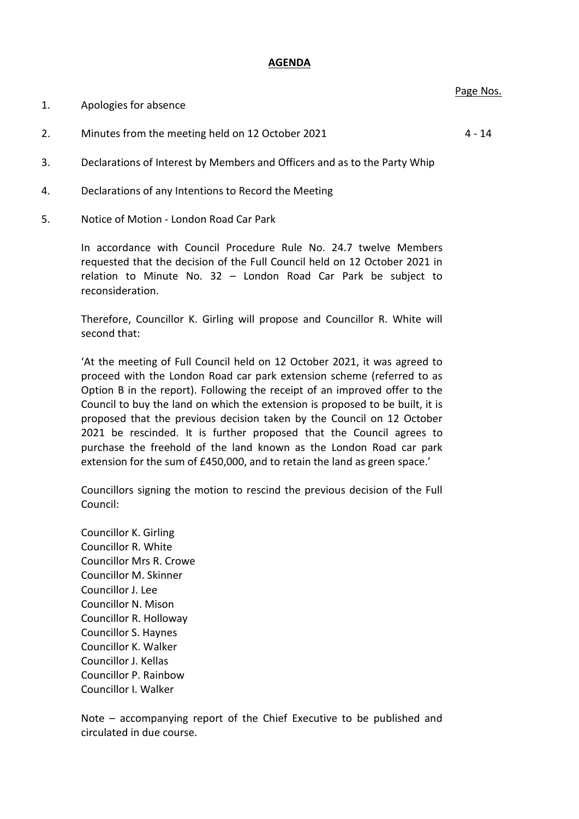## **AGENDA**

| 1. | Apologies for absence |
|----|-----------------------|
|----|-----------------------|

- 2. Minutes from the meeting held on 12 October 2021 4 14
- 3. Declarations of Interest by Members and Officers and as to the Party Whip
- 4. Declarations of any Intentions to Record the Meeting
- 5. Notice of Motion London Road Car Park

In accordance with Council Procedure Rule No. 24.7 twelve Members requested that the decision of the Full Council held on 12 October 2021 in relation to Minute No. 32 – London Road Car Park be subject to reconsideration.

Therefore, Councillor K. Girling will propose and Councillor R. White will second that:

'At the meeting of Full Council held on 12 October 2021, it was agreed to proceed with the London Road car park extension scheme (referred to as Option B in the report). Following the receipt of an improved offer to the Council to buy the land on which the extension is proposed to be built, it is proposed that the previous decision taken by the Council on 12 October 2021 be rescinded. It is further proposed that the Council agrees to purchase the freehold of the land known as the London Road car park extension for the sum of £450,000, and to retain the land as green space.'

Councillors signing the motion to rescind the previous decision of the Full Council:

Councillor K. Girling Councillor R. White Councillor Mrs R. Crowe Councillor M. Skinner Councillor J. Lee Councillor N. Mison Councillor R. Holloway Councillor S. Haynes Councillor K. Walker Councillor J. Kellas Councillor P. Rainbow Councillor I. Walker

Note – accompanying report of the Chief Executive to be published and circulated in due course.